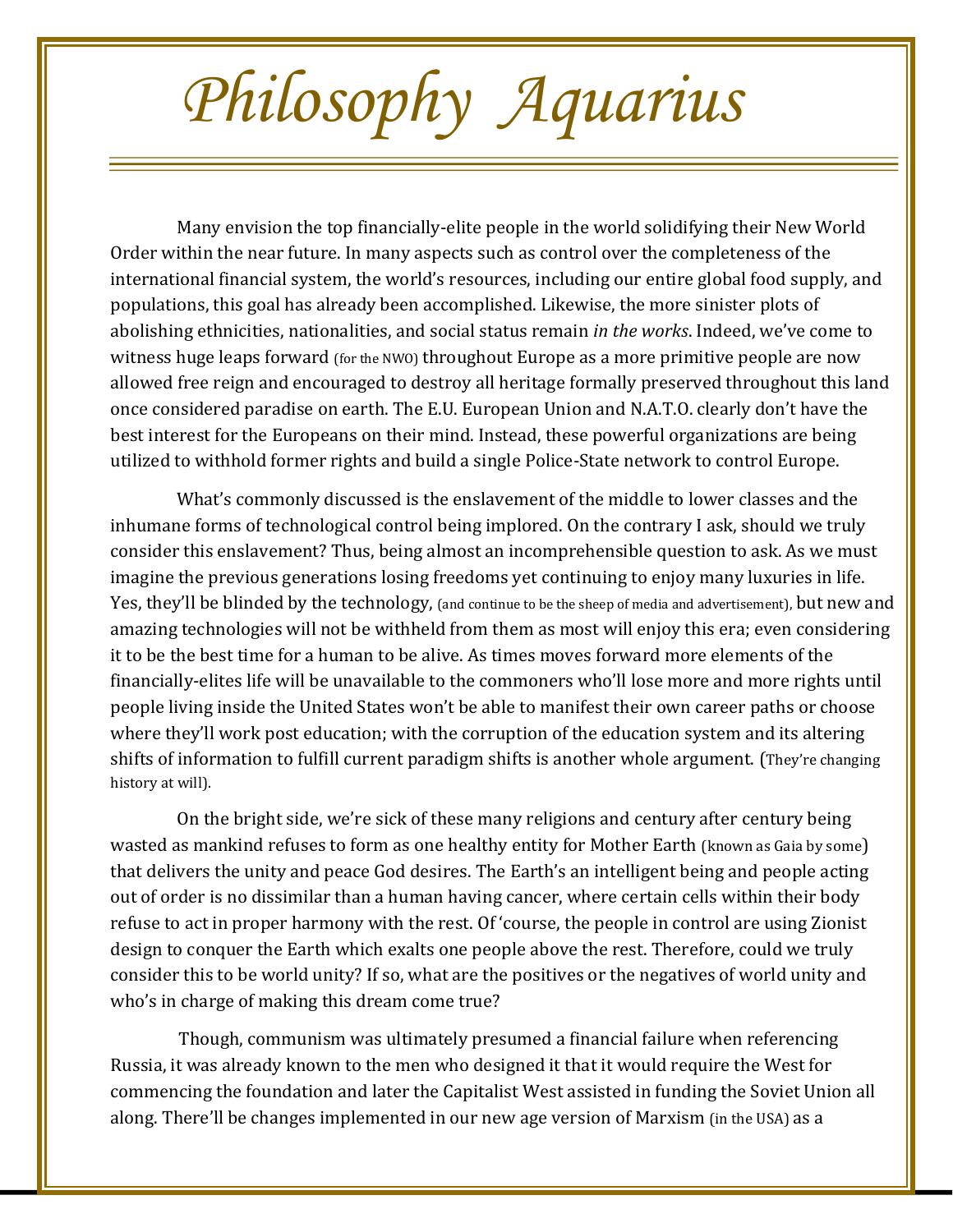## *Philosophy Aquarius*

Many envision the top financially-elite people in the world solidifying their New World Order within the near future. In many aspects such as control over the completeness of the international financial system, the world's resources, including our entire global food supply, and populations, this goal has already been accomplished. Likewise, the more sinister plots of abolishing ethnicities, nationalities, and social status remain *in the works*. Indeed, we've come to witness huge leaps forward (for the NWO) throughout Europe as a more primitive people are now allowed free reign and encouraged to destroy all heritage formally preserved throughout this land once considered paradise on earth. The E.U. European Union and N.A.T.O. clearly don't have the best interest for the Europeans on their mind. Instead, these powerful organizations are being utilized to withhold former rights and build a single Police-State network to control Europe.

What's commonly discussed is the enslavement of the middle to lower classes and the inhumane forms of technological control being implored. On the contrary I ask, should we truly consider this enslavement? Thus, being almost an incomprehensible question to ask. As we must imagine the previous generations losing freedoms yet continuing to enjoy many luxuries in life. Yes, they'll be blinded by the technology, (and continue to be the sheep of media and advertisement), but new and amazing technologies will not be withheld from them as most will enjoy this era; even considering it to be the best time for a human to be alive. As times moves forward more elements of the financially-elites life will be unavailable to the commoners who'll lose more and more rights until people living inside the United States won't be able to manifest their own career paths or choose where they'll work post education; with the corruption of the education system and its altering shifts of information to fulfill current paradigm shifts is another whole argument. (They're changing history at will).

On the bright side, we're sick of these many religions and century after century being wasted as mankind refuses to form as one healthy entity for Mother Earth (known as Gaia by some) that delivers the unity and peace God desires. The Earth's an intelligent being and people acting out of order is no dissimilar than a human having cancer, where certain cells within their body refuse to act in proper harmony with the rest. Of 'course, the people in control are using Zionist design to conquer the Earth which exalts one people above the rest. Therefore, could we truly consider this to be world unity? If so, what are the positives or the negatives of world unity and who's in charge of making this dream come true?

Though, communism was ultimately presumed a financial failure when referencing Russia, it was already known to the men who designed it that it would require the West for commencing the foundation and later the Capitalist West assisted in funding the Soviet Union all along. There'll be changes implemented in our new age version of Marxism (in the USA) as a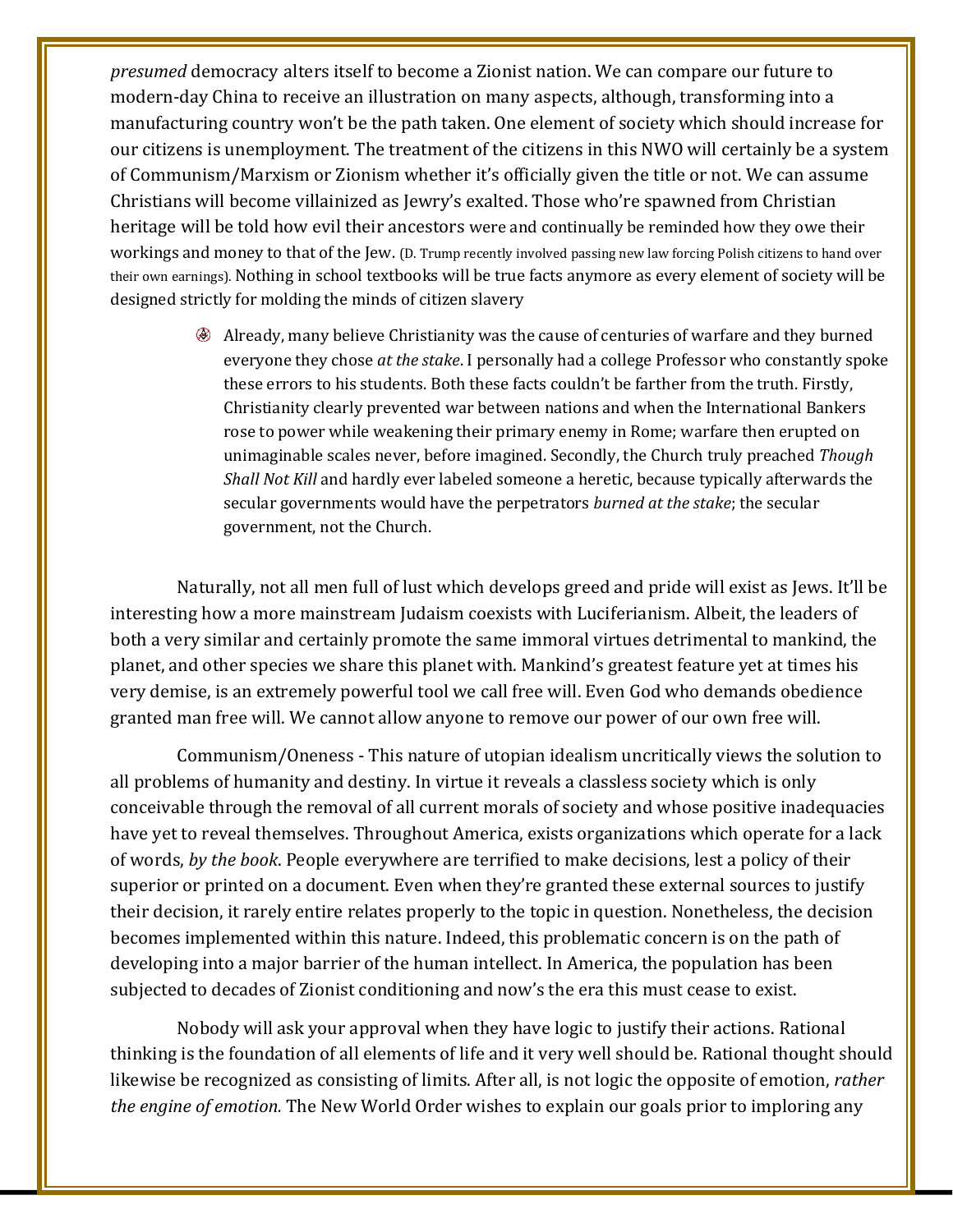*presumed* democracy alters itself to become a Zionist nation. We can compare our future to modern-day China to receive an illustration on many aspects, although, transforming into a manufacturing country won't be the path taken. One element of society which should increase for our citizens is unemployment. The treatment of the citizens in this NWO will certainly be a system of Communism/Marxism or Zionism whether it's officially given the title or not. We can assume Christians will become villainized as Jewry's exalted. Those who're spawned from Christian heritage will be told how evil their ancestors were and continually be reminded how they owe their workings and money to that of the Jew. (D. Trump recently involved passing new law forcing Polish citizens to hand over their own earnings). Nothing in school textbooks will be true facts anymore as every element of society will be designed strictly for molding the minds of citizen slavery

> Already, many believe Christianity was the cause of centuries of warfare and they burned everyone they chose *at the stake*. I personally had a college Professor who constantly spoke these errors to his students. Both these facts couldn't be farther from the truth. Firstly, Christianity clearly prevented war between nations and when the International Bankers rose to power while weakening their primary enemy in Rome; warfare then erupted on unimaginable scales never, before imagined. Secondly, the Church truly preached *Though Shall Not Kill* and hardly ever labeled someone a heretic, because typically afterwards the secular governments would have the perpetrators *burned at the stake*; the secular government, not the Church.

Naturally, not all men full of lust which develops greed and pride will exist as Jews. It'll be interesting how a more mainstream Judaism coexists with Luciferianism. Albeit, the leaders of both a very similar and certainly promote the same immoral virtues detrimental to mankind, the planet, and other species we share this planet with. Mankind's greatest feature yet at times his very demise, is an extremely powerful tool we call free will. Even God who demands obedience granted man free will. We cannot allow anyone to remove our power of our own free will.

Communism/Oneness - This nature of utopian idealism uncritically views the solution to all problems of humanity and destiny. In virtue it reveals a classless society which is only conceivable through the removal of all current morals of society and whose positive inadequacies have yet to reveal themselves. Throughout America, exists organizations which operate for a lack of words, *by the book*. People everywhere are terrified to make decisions, lest a policy of their superior or printed on a document. Even when they're granted these external sources to justify their decision, it rarely entire relates properly to the topic in question. Nonetheless, the decision becomes implemented within this nature. Indeed, this problematic concern is on the path of developing into a major barrier of the human intellect. In America, the population has been subjected to decades of Zionist conditioning and now's the era this must cease to exist.

Nobody will ask your approval when they have logic to justify their actions. Rational thinking is the foundation of all elements of life and it very well should be. Rational thought should likewise be recognized as consisting of limits. After all, is not logic the opposite of emotion, *rather the engine of emotion.* The New World Order wishes to explain our goals prior to imploring any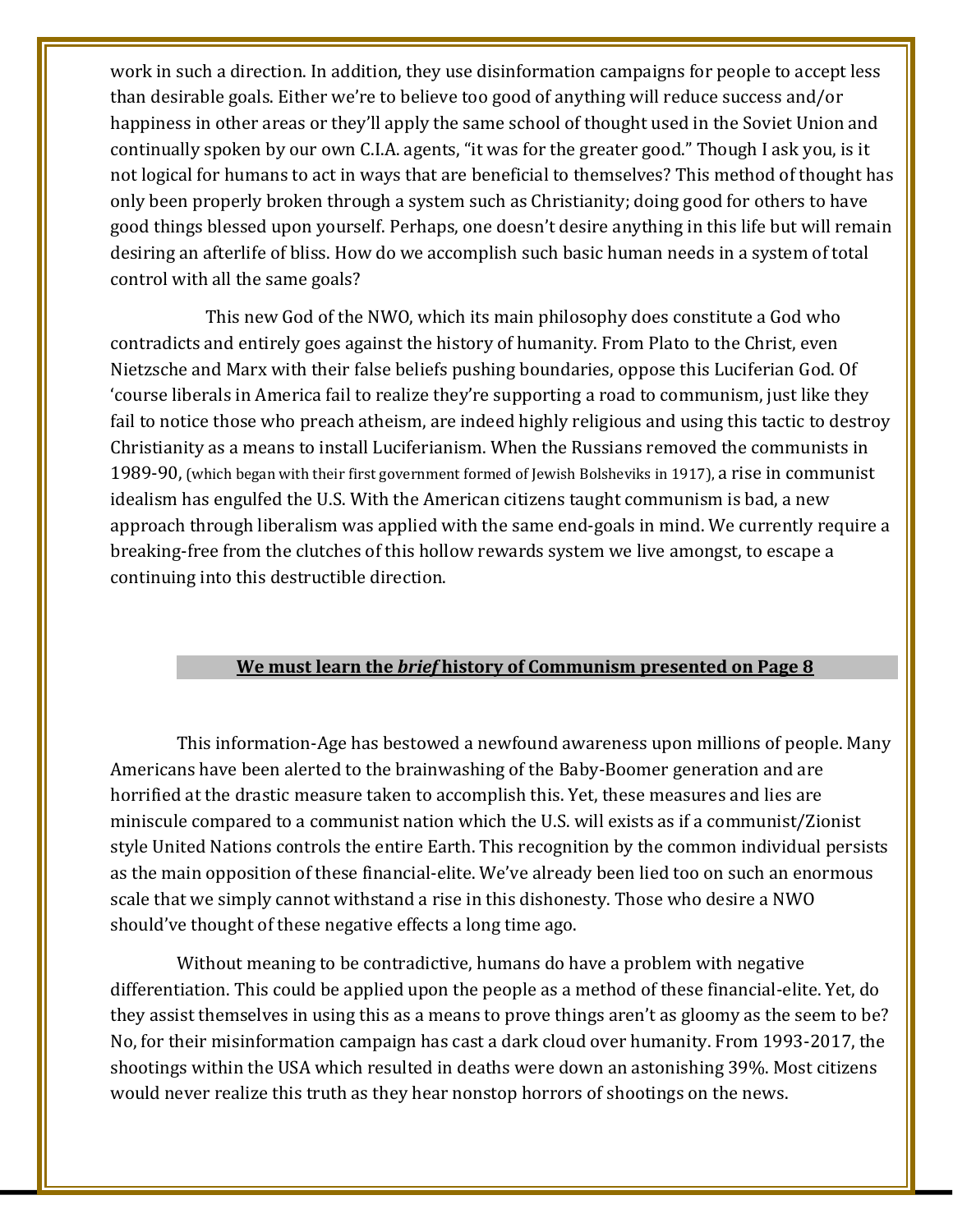work in such a direction. In addition, they use disinformation campaigns for people to accept less than desirable goals. Either we're to believe too good of anything will reduce success and/or happiness in other areas or they'll apply the same school of thought used in the Soviet Union and continually spoken by our own C.I.A. agents, "it was for the greater good." Though I ask you, is it not logical for humans to act in ways that are beneficial to themselves? This method of thought has only been properly broken through a system such as Christianity; doing good for others to have good things blessed upon yourself. Perhaps, one doesn't desire anything in this life but will remain desiring an afterlife of bliss. How do we accomplish such basic human needs in a system of total control with all the same goals?

 This new God of the NWO, which its main philosophy does constitute a God who contradicts and entirely goes against the history of humanity. From Plato to the Christ, even Nietzsche and Marx with their false beliefs pushing boundaries, oppose this Luciferian God. Of 'course liberals in America fail to realize they're supporting a road to communism, just like they fail to notice those who preach atheism, are indeed highly religious and using this tactic to destroy Christianity as a means to install Luciferianism. When the Russians removed the communists in 1989-90, (which began with their first government formed of Jewish Bolsheviks in 1917), a rise in communist idealism has engulfed the U.S. With the American citizens taught communism is bad, a new approach through liberalism was applied with the same end-goals in mind. We currently require a breaking-free from the clutches of this hollow rewards system we live amongst, to escape a continuing into this destructible direction.

## **We must learn the** *brief* **history of Communism presented on Page 8**

This information-Age has bestowed a newfound awareness upon millions of people. Many Americans have been alerted to the brainwashing of the Baby-Boomer generation and are horrified at the drastic measure taken to accomplish this. Yet, these measures and lies are miniscule compared to a communist nation which the U.S. will exists as if a communist/Zionist style United Nations controls the entire Earth. This recognition by the common individual persists as the main opposition of these financial-elite. We've already been lied too on such an enormous scale that we simply cannot withstand a rise in this dishonesty. Those who desire a NWO should've thought of these negative effects a long time ago.

Without meaning to be contradictive, humans do have a problem with negative differentiation. This could be applied upon the people as a method of these financial-elite. Yet, do they assist themselves in using this as a means to prove things aren't as gloomy as the seem to be? No, for their misinformation campaign has cast a dark cloud over humanity. From 1993-2017, the shootings within the USA which resulted in deaths were down an astonishing 39%. Most citizens would never realize this truth as they hear nonstop horrors of shootings on the news.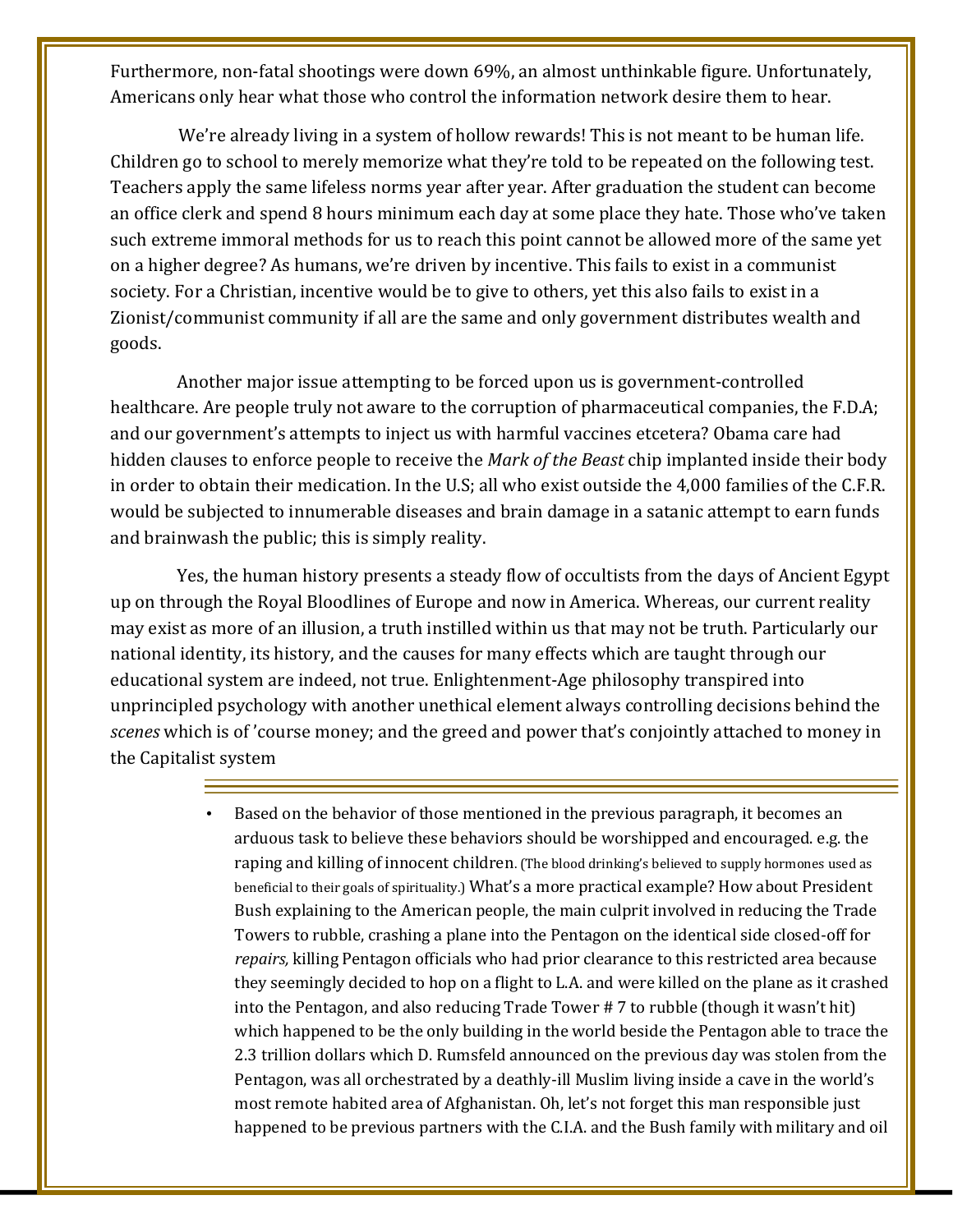Furthermore, non-fatal shootings were down 69%, an almost unthinkable figure. Unfortunately, Americans only hear what those who control the information network desire them to hear.

We're already living in a system of hollow rewards! This is not meant to be human life. Children go to school to merely memorize what they're told to be repeated on the following test. Teachers apply the same lifeless norms year after year. After graduation the student can become an office clerk and spend 8 hours minimum each day at some place they hate. Those who've taken such extreme immoral methods for us to reach this point cannot be allowed more of the same yet on a higher degree? As humans, we're driven by incentive. This fails to exist in a communist society. For a Christian, incentive would be to give to others, yet this also fails to exist in a Zionist/communist community if all are the same and only government distributes wealth and goods.

Another major issue attempting to be forced upon us is government-controlled healthcare. Are people truly not aware to the corruption of pharmaceutical companies, the F.D.A; and our government's attempts to inject us with harmful vaccines etcetera? Obama care had hidden clauses to enforce people to receive the *Mark of the Beast* chip implanted inside their body in order to obtain their medication. In the U.S; all who exist outside the 4,000 families of the C.F.R. would be subjected to innumerable diseases and brain damage in a satanic attempt to earn funds and brainwash the public; this is simply reality.

Yes, the human history presents a steady flow of occultists from the days of Ancient Egypt up on through the Royal Bloodlines of Europe and now in America. Whereas, our current reality may exist as more of an illusion, a truth instilled within us that may not be truth. Particularly our national identity, its history, and the causes for many effects which are taught through our educational system are indeed, not true. Enlightenment-Age philosophy transpired into unprincipled psychology with another unethical element always controlling decisions behind the *scenes* which is of 'course money; and the greed and power that's conjointly attached to money in the Capitalist system

> • Based on the behavior of those mentioned in the previous paragraph, it becomes an arduous task to believe these behaviors should be worshipped and encouraged. e.g. the raping and killing of innocent children. (The blood drinking's believed to supply hormones used as beneficial to their goals of spirituality.) What's a more practical example? How about President Bush explaining to the American people, the main culprit involved in reducing the Trade Towers to rubble, crashing a plane into the Pentagon on the identical side closed-off for *repairs,* killing Pentagon officials who had prior clearance to this restricted area because they seemingly decided to hop on a flight to L.A. and were killed on the plane as it crashed into the Pentagon, and also reducing Trade Tower # 7 to rubble (though it wasn't hit) which happened to be the only building in the world beside the Pentagon able to trace the 2.3 trillion dollars which D. Rumsfeld announced on the previous day was stolen from the Pentagon, was all orchestrated by a deathly-ill Muslim living inside a cave in the world's most remote habited area of Afghanistan. Oh, let's not forget this man responsible just happened to be previous partners with the C.I.A. and the Bush family with military and oil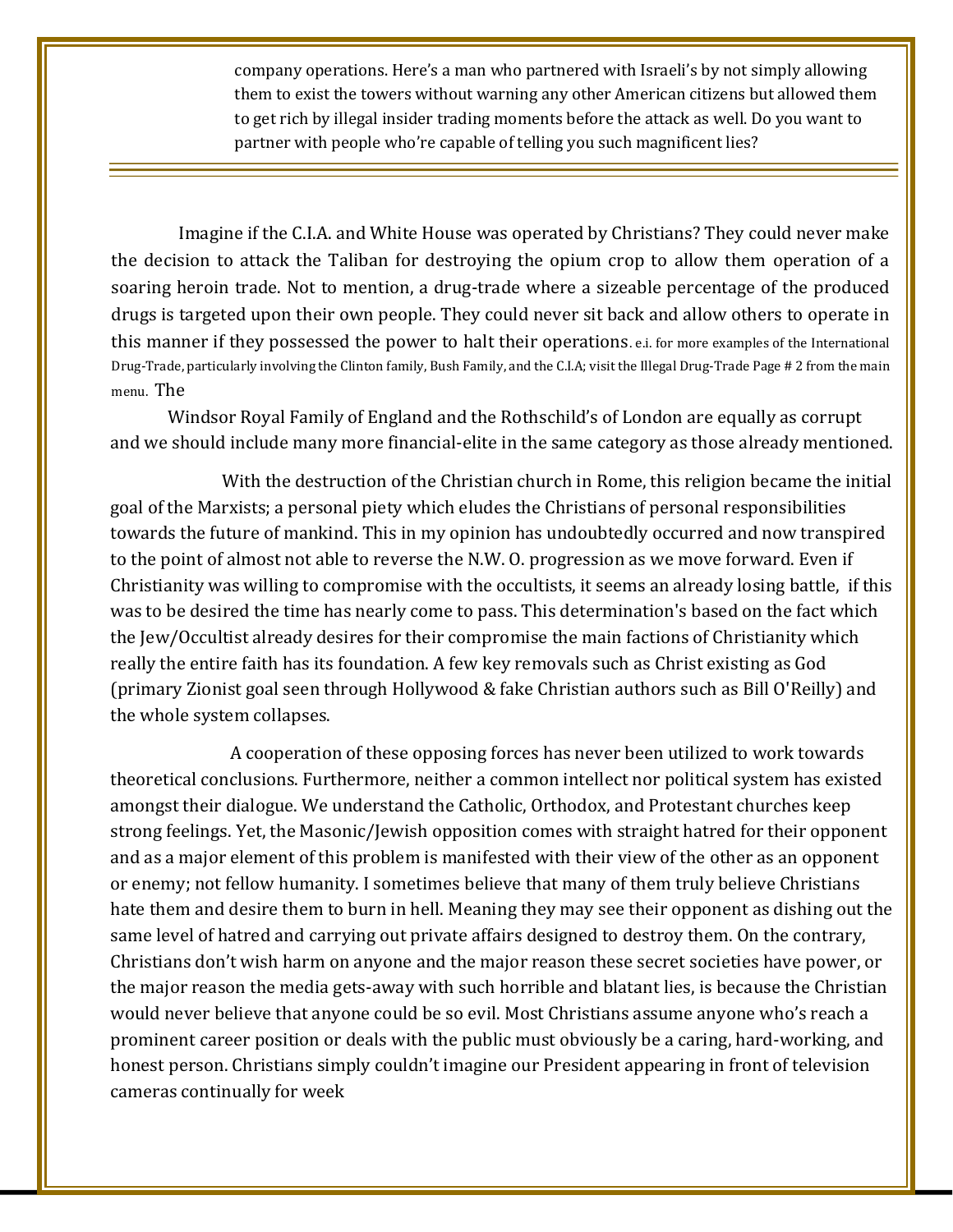company operations. Here's a man who partnered with Israeli's by not simply allowing them to exist the towers without warning any other American citizens but allowed them to get rich by illegal insider trading moments before the attack as well. Do you want to partner with people who're capable of telling you such magnificent lies?

Imagine if the C.I.A. and White House was operated by Christians? They could never make the decision to attack the Taliban for destroying the opium crop to allow them operation of a soaring heroin trade. Not to mention, a drug-trade where a sizeable percentage of the produced drugs is targeted upon their own people. They could never sit back and allow others to operate in this manner if they possessed the power to halt their operations. e.i. for more examples of the International Drug-Trade, particularly involving the Clinton family, Bush Family, and the C.I.A; visit the Illegal Drug-Trade Page # 2 from the main menu. The

Windsor Royal Family of England and the Rothschild's of London are equally as corrupt and we should include many more financial-elite in the same category as those already mentioned.

 With the destruction of the Christian church in Rome, this religion became the initial goal of the Marxists; a personal piety which eludes the Christians of personal responsibilities towards the future of mankind. This in my opinion has undoubtedly occurred and now transpired to the point of almost not able to reverse the N.W. O. progression as we move forward. Even if Christianity was willing to compromise with the occultists, it seems an already losing battle, if this was to be desired the time has nearly come to pass. This determination's based on the fact which the Jew/Occultist already desires for their compromise the main factions of Christianity which really the entire faith has its foundation. A few key removals such as Christ existing as God (primary Zionist goal seen through Hollywood & fake Christian authors such as Bill O'Reilly) and the whole system collapses.

 A cooperation of these opposing forces has never been utilized to work towards theoretical conclusions. Furthermore, neither a common intellect nor political system has existed amongst their dialogue. We understand the Catholic, Orthodox, and Protestant churches keep strong feelings. Yet, the Masonic/Jewish opposition comes with straight hatred for their opponent and as a major element of this problem is manifested with their view of the other as an opponent or enemy; not fellow humanity. I sometimes believe that many of them truly believe Christians hate them and desire them to burn in hell. Meaning they may see their opponent as dishing out the same level of hatred and carrying out private affairs designed to destroy them. On the contrary, Christians don't wish harm on anyone and the major reason these secret societies have power, or the major reason the media gets-away with such horrible and blatant lies, is because the Christian would never believe that anyone could be so evil. Most Christians assume anyone who's reach a prominent career position or deals with the public must obviously be a caring, hard-working, and honest person. Christians simply couldn't imagine our President appearing in front of television cameras continually for week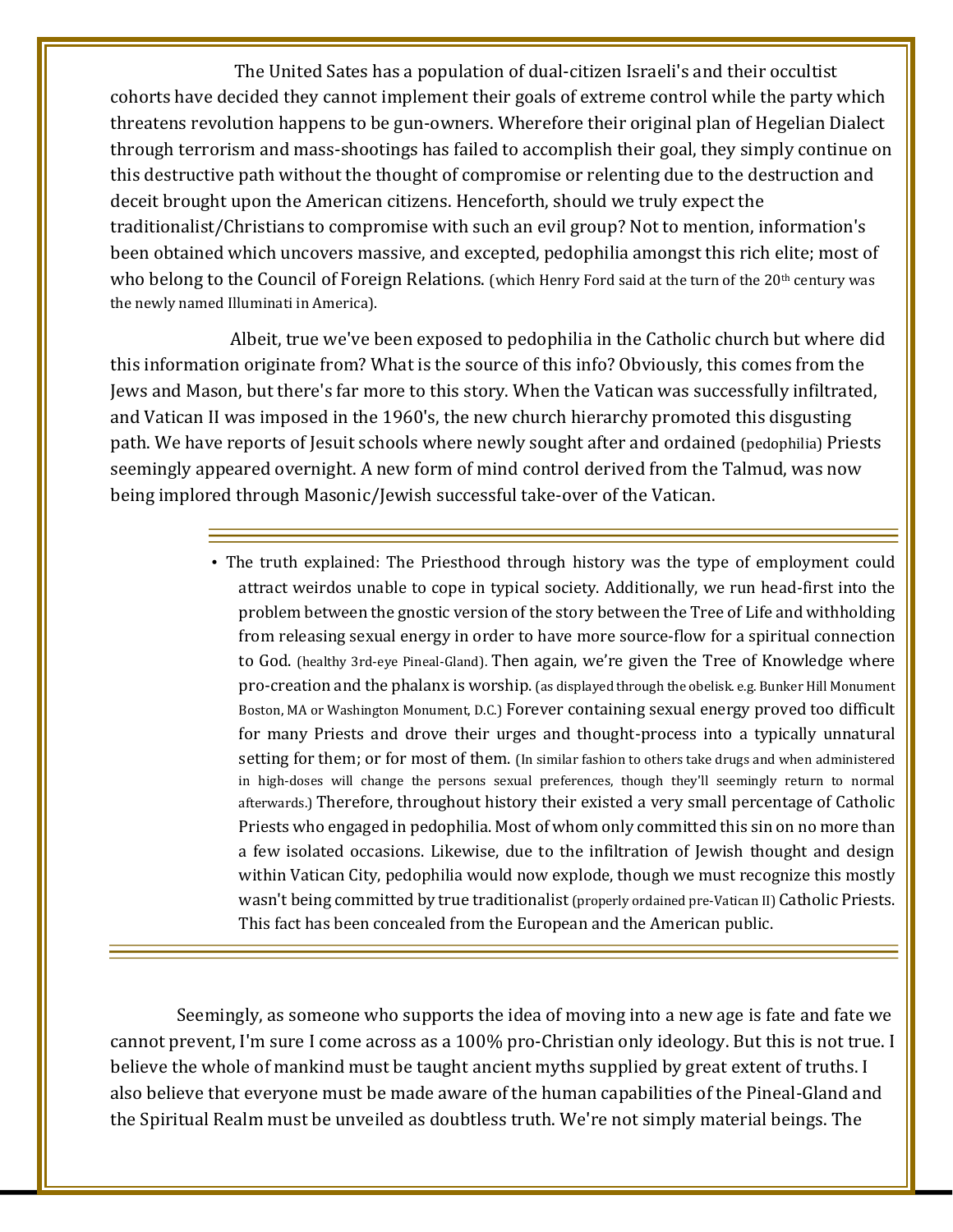The United Sates has a population of dual-citizen Israeli's and their occultist cohorts have decided they cannot implement their goals of extreme control while the party which threatens revolution happens to be gun-owners. Wherefore their original plan of Hegelian Dialect through terrorism and mass-shootings has failed to accomplish their goal, they simply continue on this destructive path without the thought of compromise or relenting due to the destruction and deceit brought upon the American citizens. Henceforth, should we truly expect the traditionalist/Christians to compromise with such an evil group? Not to mention, information's been obtained which uncovers massive, and excepted, pedophilia amongst this rich elite; most of who belong to the Council of Foreign Relations. (which Henry Ford said at the turn of the 20<sup>th</sup> century was the newly named Illuminati in America).

 Albeit, true we've been exposed to pedophilia in the Catholic church but where did this information originate from? What is the source of this info? Obviously, this comes from the Jews and Mason, but there's far more to this story. When the Vatican was successfully infiltrated, and Vatican II was imposed in the 1960's, the new church hierarchy promoted this disgusting path. We have reports of Jesuit schools where newly sought after and ordained (pedophilia) Priests seemingly appeared overnight. A new form of mind control derived from the Talmud, was now being implored through Masonic/Jewish successful take-over of the Vatican.

> • The truth explained: The Priesthood through history was the type of employment could attract weirdos unable to cope in typical society. Additionally, we run head-first into the problem between the gnostic version of the story between the Tree of Life and withholding from releasing sexual energy in order to have more source-flow for a spiritual connection to God. (healthy 3rd-eye Pineal-Gland). Then again, we're given the Tree of Knowledge where pro-creation and the phalanx is worship. (as displayed through the obelisk. e.g. Bunker Hill Monument Boston, MA or Washington Monument, D.C.) Forever containing sexual energy proved too difficult for many Priests and drove their urges and thought-process into a typically unnatural setting for them; or for most of them. (In similar fashion to others take drugs and when administered in high-doses will change the persons sexual preferences, though they'll seemingly return to normal afterwards.) Therefore, throughout history their existed a very small percentage of Catholic Priests who engaged in pedophilia. Most of whom only committed this sin on no more than a few isolated occasions. Likewise, due to the infiltration of Jewish thought and design within Vatican City, pedophilia would now explode, though we must recognize this mostly wasn't being committed by true traditionalist (properly ordained pre-Vatican II) Catholic Priests. This fact has been concealed from the European and the American public.

Seemingly, as someone who supports the idea of moving into a new age is fate and fate we cannot prevent, I'm sure I come across as a 100% pro-Christian only ideology. But this is not true. I believe the whole of mankind must be taught ancient myths supplied by great extent of truths. I also believe that everyone must be made aware of the human capabilities of the Pineal-Gland and the Spiritual Realm must be unveiled as doubtless truth. We're not simply material beings. The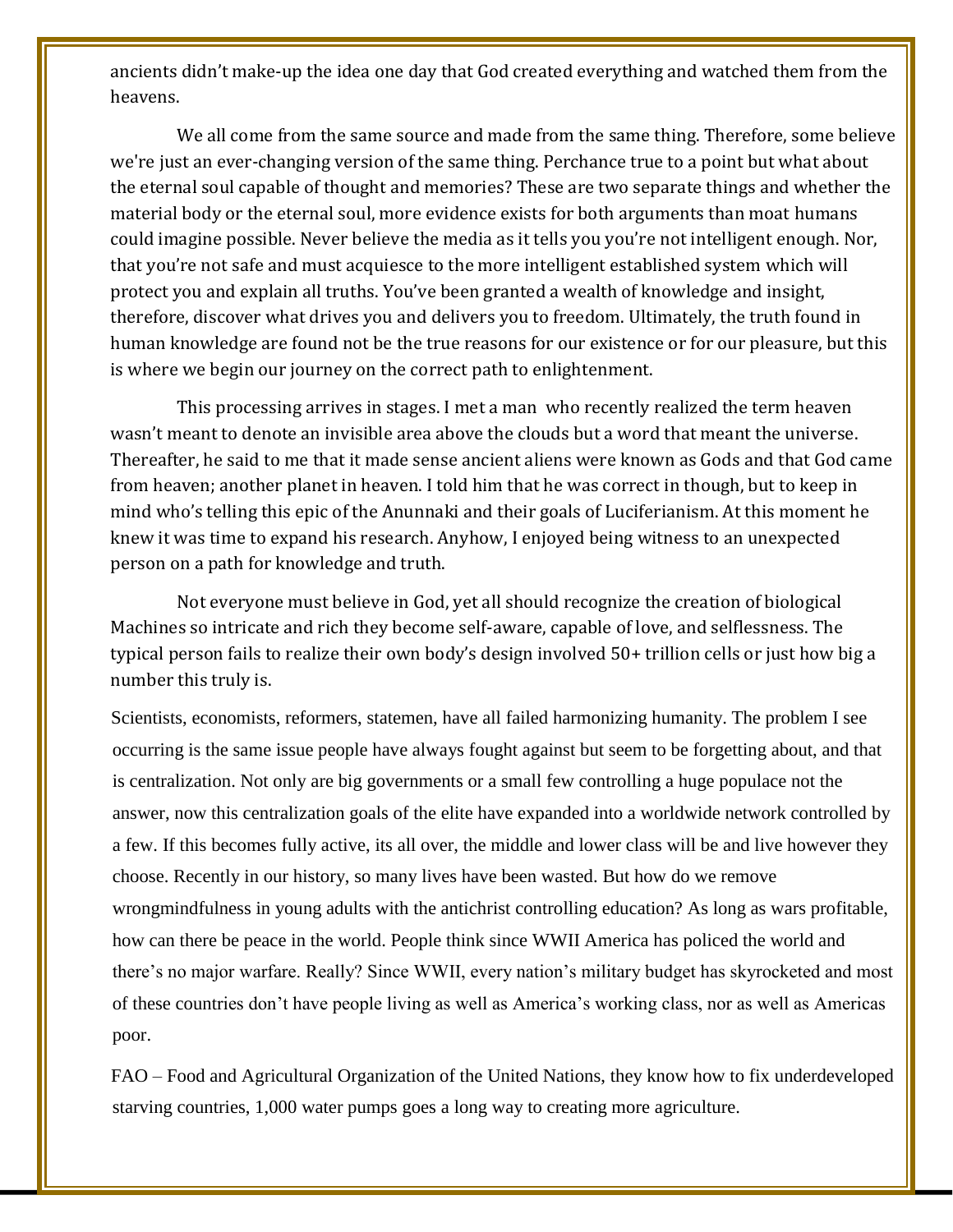ancients didn't make-up the idea one day that God created everything and watched them from the heavens.

We all come from the same source and made from the same thing. Therefore, some believe we're just an ever-changing version of the same thing. Perchance true to a point but what about the eternal soul capable of thought and memories? These are two separate things and whether the material body or the eternal soul, more evidence exists for both arguments than moat humans could imagine possible. Never believe the media as it tells you you're not intelligent enough. Nor, that you're not safe and must acquiesce to the more intelligent established system which will protect you and explain all truths. You've been granted a wealth of knowledge and insight, therefore, discover what drives you and delivers you to freedom. Ultimately, the truth found in human knowledge are found not be the true reasons for our existence or for our pleasure, but this is where we begin our journey on the correct path to enlightenment.

This processing arrives in stages. I met a man who recently realized the term heaven wasn't meant to denote an invisible area above the clouds but a word that meant the universe. Thereafter, he said to me that it made sense ancient aliens were known as Gods and that God came from heaven; another planet in heaven. I told him that he was correct in though, but to keep in mind who's telling this epic of the Anunnaki and their goals of Luciferianism. At this moment he knew it was time to expand his research. Anyhow, I enjoyed being witness to an unexpected person on a path for knowledge and truth.

Not everyone must believe in God, yet all should recognize the creation of biological Machines so intricate and rich they become self-aware, capable of love, and selflessness. The typical person fails to realize their own body's design involved 50+ trillion cells or just how big a number this truly is.

Scientists, economists, reformers, statemen, have all failed harmonizing humanity. The problem I see occurring is the same issue people have always fought against but seem to be forgetting about, and that is centralization. Not only are big governments or a small few controlling a huge populace not the answer, now this centralization goals of the elite have expanded into a worldwide network controlled by a few. If this becomes fully active, its all over, the middle and lower class will be and live however they choose. Recently in our history, so many lives have been wasted. But how do we remove wrongmindfulness in young adults with the antichrist controlling education? As long as wars profitable, how can there be peace in the world. People think since WWII America has policed the world and there's no major warfare. Really? Since WWII, every nation's military budget has skyrocketed and most of these countries don't have people living as well as America's working class, nor as well as Americas poor.

FAO – Food and Agricultural Organization of the United Nations, they know how to fix underdeveloped starving countries, 1,000 water pumps goes a long way to creating more agriculture.